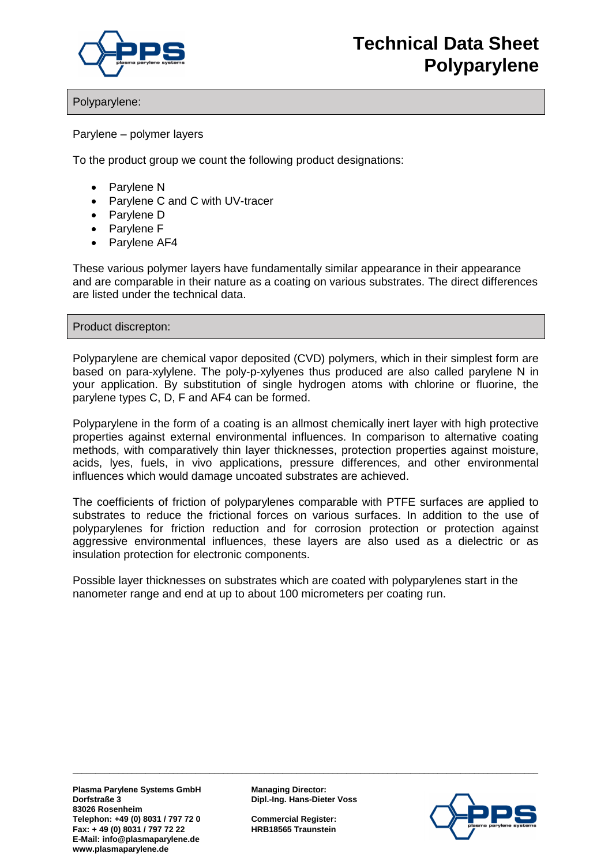

## Polyparylene:

Parylene – polymer layers

To the product group we count the following product designations:

- Parylene N
- Parylene C and C with UV-tracer
- Parylene D
- Parylene F
- Parvlene AF4

These various polymer layers have fundamentally similar appearance in their appearance and are comparable in their nature as a coating on various substrates. The direct differences are listed under the technical data.

Product discrepton:

Polyparylene are chemical vapor deposited (CVD) polymers, which in their simplest form are based on para-xylylene. The poly-p-xylyenes thus produced are also called parylene N in your application. By substitution of single hydrogen atoms with chlorine or fluorine, the parylene types C, D, F and AF4 can be formed.

Polyparylene in the form of a coating is an allmost chemically inert layer with high protective properties against external environmental influences. In comparison to alternative coating methods, with comparatively thin layer thicknesses, protection properties against moisture, acids, lyes, fuels, in vivo applications, pressure differences, and other environmental influences which would damage uncoated substrates are achieved.

The coefficients of friction of polyparylenes comparable with PTFE surfaces are applied to substrates to reduce the frictional forces on various surfaces. In addition to the use of polyparylenes for friction reduction and for corrosion protection or protection against aggressive environmental influences, these layers are also used as a dielectric or as insulation protection for electronic components.

Possible layer thicknesses on substrates which are coated with polyparylenes start in the nanometer range and end at up to about 100 micrometers per coating run.

**Plasma Parylene Systems GmbH Managing Director: Dorfstraße 3 Dipl.-Ing. Hans-Dieter Voss 83026 Rosenheim Telephon: +49 (0) 8031 / 797 72 0 Commercial Register: Fax: + 49 (0) 8031 / 797 72 22 HRB18565 Traunstein E-Mail: info@plasmaparylene.de www.plasmaparylene.de** 

**\_\_\_\_\_\_\_\_\_\_\_\_\_\_\_\_\_\_\_\_\_\_\_\_\_\_\_\_\_\_\_\_\_\_\_\_\_\_\_\_\_\_\_\_\_\_\_\_\_\_\_\_\_\_\_\_\_\_\_\_\_\_\_\_\_\_\_\_\_\_\_\_\_\_\_\_\_\_\_\_\_\_\_\_\_\_\_\_\_\_\_\_\_\_\_\_\_\_\_\_\_\_**